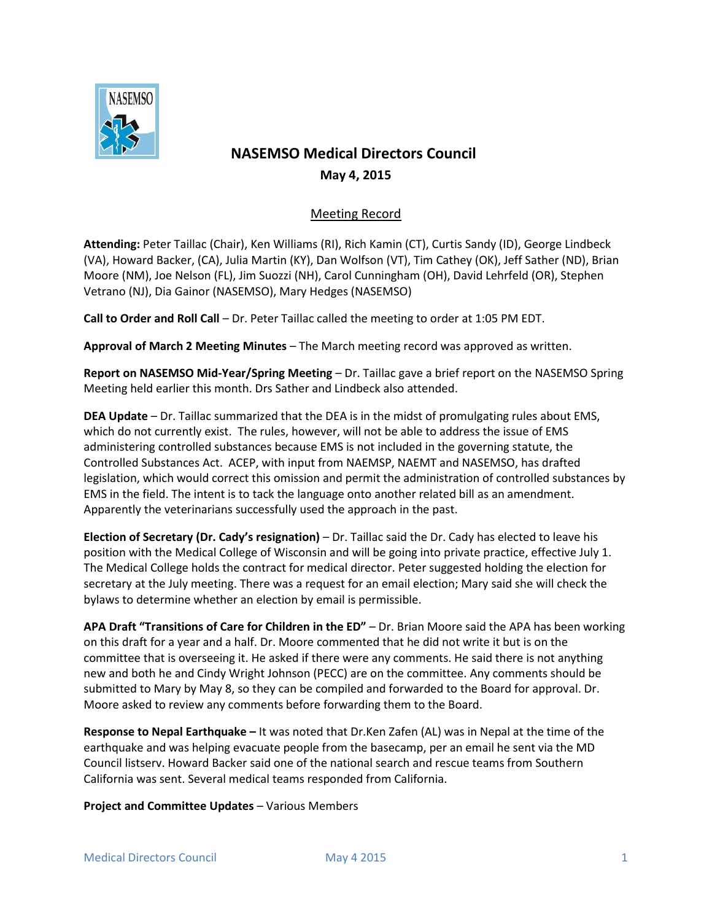

## **NASEMSO Medical Directors Council May 4, 2015**

## Meeting Record

**Attending:** Peter Taillac (Chair), Ken Williams (RI), Rich Kamin (CT), Curtis Sandy (ID), George Lindbeck (VA), Howard Backer, (CA), Julia Martin (KY), Dan Wolfson (VT), Tim Cathey (OK), Jeff Sather (ND), Brian Moore (NM), Joe Nelson (FL), Jim Suozzi (NH), Carol Cunningham (OH), David Lehrfeld (OR), Stephen Vetrano (NJ), Dia Gainor (NASEMSO), Mary Hedges (NASEMSO)

**Call to Order and Roll Call** – Dr. Peter Taillac called the meeting to order at 1:05 PM EDT.

**Approval of March 2 Meeting Minutes** – The March meeting record was approved as written.

**Report on NASEMSO Mid-Year/Spring Meeting** – Dr. Taillac gave a brief report on the NASEMSO Spring Meeting held earlier this month. Drs Sather and Lindbeck also attended.

**DEA Update** – Dr. Taillac summarized that the DEA is in the midst of promulgating rules about EMS, which do not currently exist. The rules, however, will not be able to address the issue of EMS administering controlled substances because EMS is not included in the governing statute, the Controlled Substances Act. ACEP, with input from NAEMSP, NAEMT and NASEMSO, has drafted legislation, which would correct this omission and permit the administration of controlled substances by EMS in the field. The intent is to tack the language onto another related bill as an amendment. Apparently the veterinarians successfully used the approach in the past.

**Election of Secretary (Dr. Cady's resignation)** – Dr. Taillac said the Dr. Cady has elected to leave his position with the Medical College of Wisconsin and will be going into private practice, effective July 1. The Medical College holds the contract for medical director. Peter suggested holding the election for secretary at the July meeting. There was a request for an email election; Mary said she will check the bylaws to determine whether an election by email is permissible.

**APA Draft "Transitions of Care for Children in the ED"** – Dr. Brian Moore said the APA has been working on this draft for a year and a half. Dr. Moore commented that he did not write it but is on the committee that is overseeing it. He asked if there were any comments. He said there is not anything new and both he and Cindy Wright Johnson (PECC) are on the committee. Any comments should be submitted to Mary by May 8, so they can be compiled and forwarded to the Board for approval. Dr. Moore asked to review any comments before forwarding them to the Board.

**Response to Nepal Earthquake –** It was noted that Dr.Ken Zafen (AL) was in Nepal at the time of the earthquake and was helping evacuate people from the basecamp, per an email he sent via the MD Council listserv. Howard Backer said one of the national search and rescue teams from Southern California was sent. Several medical teams responded from California.

**Project and Committee Updates** – Various Members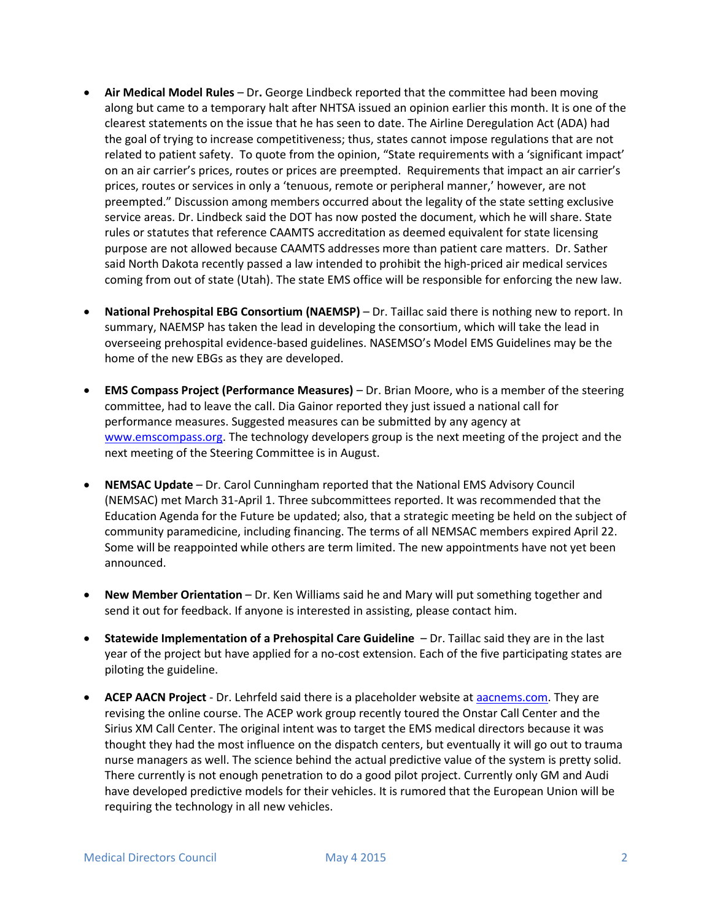- **Air Medical Model Rules**  Dr**.** George Lindbeck reported that the committee had been moving along but came to a temporary halt after NHTSA issued an opinion earlier this month. It is one of the clearest statements on the issue that he has seen to date. The Airline Deregulation Act (ADA) had the goal of trying to increase competitiveness; thus, states cannot impose regulations that are not related to patient safety. To quote from the opinion, "State requirements with a 'significant impact' on an air carrier's prices, routes or prices are preempted. Requirements that impact an air carrier's prices, routes or services in only a 'tenuous, remote or peripheral manner,' however, are not preempted." Discussion among members occurred about the legality of the state setting exclusive service areas. Dr. Lindbeck said the DOT has now posted the document, which he will share. State rules or statutes that reference CAAMTS accreditation as deemed equivalent for state licensing purpose are not allowed because CAAMTS addresses more than patient care matters. Dr. Sather said North Dakota recently passed a law intended to prohibit the high-priced air medical services coming from out of state (Utah). The state EMS office will be responsible for enforcing the new law.
- **National Prehospital EBG Consortium (NAEMSP)** Dr. Taillac said there is nothing new to report. In summary, NAEMSP has taken the lead in developing the consortium, which will take the lead in overseeing prehospital evidence-based guidelines. NASEMSO's Model EMS Guidelines may be the home of the new EBGs as they are developed.
- **EMS Compass Project (Performance Measures)**  Dr. Brian Moore, who is a member of the steering committee, had to leave the call. Dia Gainor reported they just issued a national call for performance measures. Suggested measures can be submitted by any agency at [www.emscompass.org.](http://www.emscompass.org/) The technology developers group is the next meeting of the project and the next meeting of the Steering Committee is in August.
- **NEMSAC Update** Dr. Carol Cunningham reported that the National EMS Advisory Council (NEMSAC) met March 31-April 1. Three subcommittees reported. It was recommended that the Education Agenda for the Future be updated; also, that a strategic meeting be held on the subject of community paramedicine, including financing. The terms of all NEMSAC members expired April 22. Some will be reappointed while others are term limited. The new appointments have not yet been announced.
- **New Member Orientation**  Dr. Ken Williams said he and Mary will put something together and send it out for feedback. If anyone is interested in assisting, please contact him.
- **Statewide Implementation of a Prehospital Care Guideline**  Dr. Taillac said they are in the last year of the project but have applied for a no-cost extension. Each of the five participating states are piloting the guideline.
- **ACEP AACN Project** Dr. Lehrfeld said there is a placeholder website a[t aacnems.com.](aacnems.com) They are revising the online course. The ACEP work group recently toured the Onstar Call Center and the Sirius XM Call Center. The original intent was to target the EMS medical directors because it was thought they had the most influence on the dispatch centers, but eventually it will go out to trauma nurse managers as well. The science behind the actual predictive value of the system is pretty solid. There currently is not enough penetration to do a good pilot project. Currently only GM and Audi have developed predictive models for their vehicles. It is rumored that the European Union will be requiring the technology in all new vehicles.